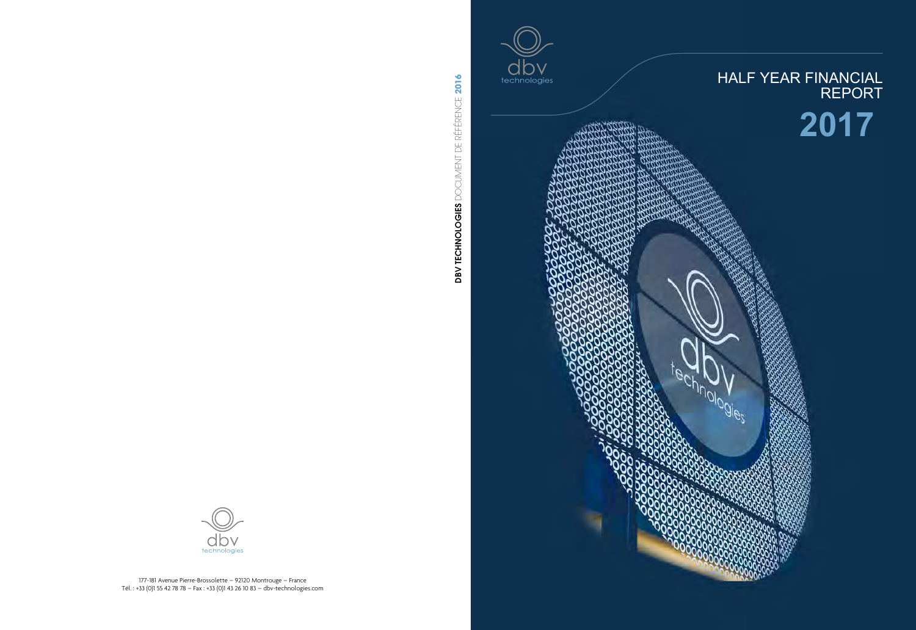



**MONDOSIES**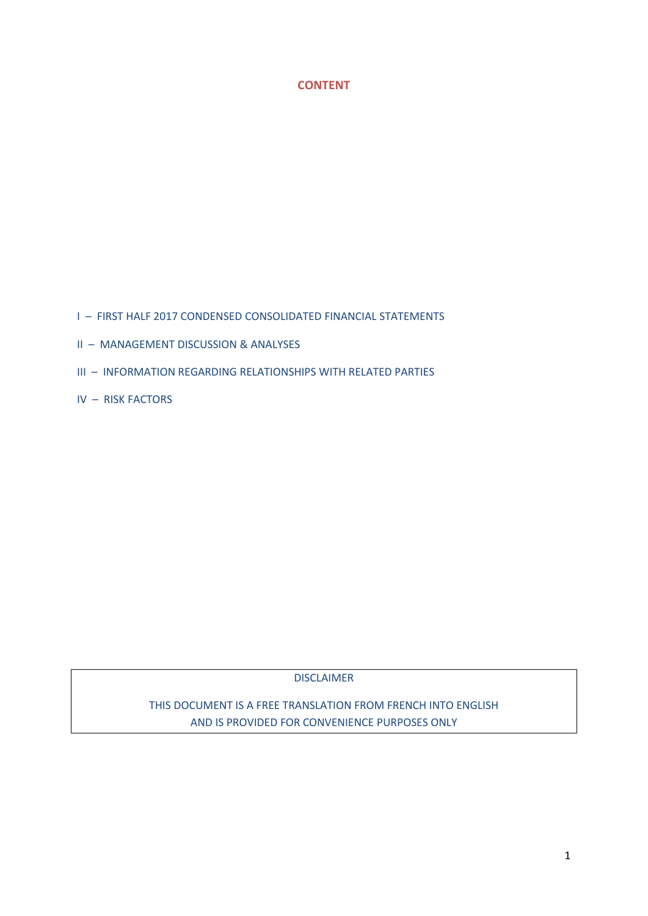# **CONTENT**

I – FIRST HALF 2017 CONDENSED CONSOLIDATED FINANCIAL STATEMENTS

- II MANAGEMENT DISCUSSION & ANALYSES
- III INFORMATION REGARDING RELATIONSHIPS WITH RELATED PARTIES
- IV RISK FACTORS

DISCLAIMER

THIS DOCUMENT IS A FREE TRANSLATION FROM FRENCH INTO ENGLISH AND IS PROVIDED FOR CONVENIENCE PURPOSES ONLY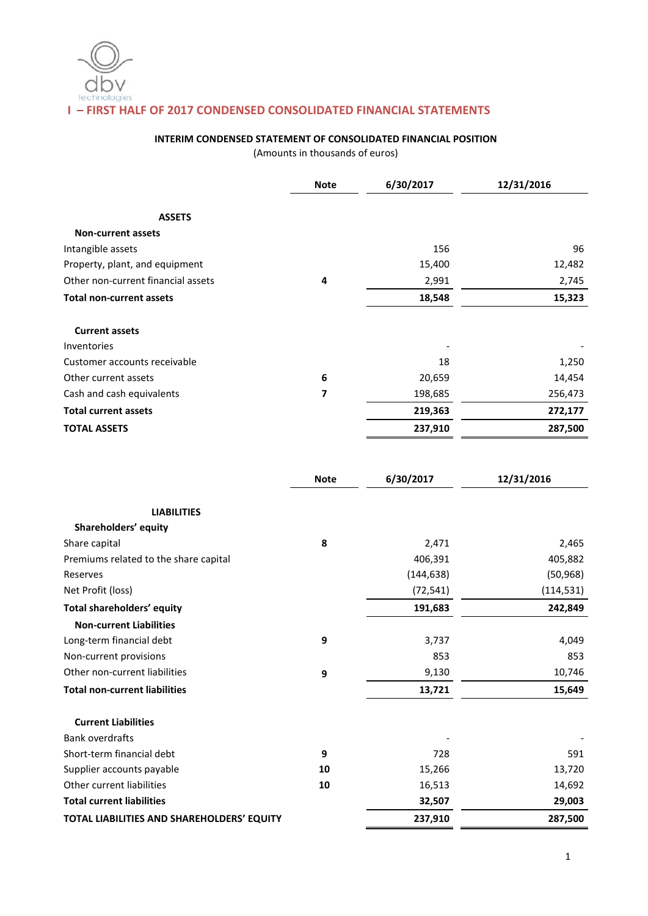# **I – FIRST HALF OF 2017 CONDENSED CONSOLIDATED FINANCIAL STATEMENTS**

# **INTERIM CONDENSED STATEMENT OF CONSOLIDATED FINANCIAL POSITION**

(Amounts in thousands of euros)

|                                       | <b>Note</b> | 6/30/2017  | 12/31/2016 |
|---------------------------------------|-------------|------------|------------|
| <b>ASSETS</b>                         |             |            |            |
| <b>Non-current assets</b>             |             |            |            |
| Intangible assets                     |             | 156        | 96         |
| Property, plant, and equipment        |             | 15,400     | 12,482     |
| Other non-current financial assets    | 4           | 2,991      | 2,745      |
| <b>Total non-current assets</b>       |             | 18,548     | 15,323     |
| <b>Current assets</b>                 |             |            |            |
| Inventories                           |             |            |            |
| Customer accounts receivable          |             | 18         | 1,250      |
| Other current assets                  | 6           | 20,659     | 14,454     |
| Cash and cash equivalents             | 7           | 198,685    | 256,473    |
| <b>Total current assets</b>           |             | 219,363    | 272,177    |
| <b>TOTAL ASSETS</b>                   |             | 237,910    | 287,500    |
|                                       |             |            |            |
|                                       | <b>Note</b> | 6/30/2017  | 12/31/2016 |
| <b>LIABILITIES</b>                    |             |            |            |
| Shareholders' equity                  |             |            |            |
| Share capital                         | 8           | 2,471      | 2,465      |
| Premiums related to the share capital |             | 406,391    | 405,882    |
| Reserves                              |             | (144, 638) | (50, 968)  |
| Net Profit (loss)                     |             | (72, 541)  | (114, 531) |
| Total shareholders' equity            |             | 191,683    | 242,849    |
| <b>Non-current Liabilities</b>        |             |            |            |
| Long-term financial debt              | 9           | 3,737      | 4,049      |
| Non-current provisions                |             | 853        | 853        |
| Other non-current liabilities         | 9           | 9,130      | 10,746     |

**Total non-current liabilities 13,721 15,649** 

| <b>Total current liabilities</b> |    | 32,507                   | 29,003 |
|----------------------------------|----|--------------------------|--------|
| Other current liabilities        | 10 | 16,513                   | 14,692 |
| Supplier accounts payable        | 10 | 15,266                   | 13,720 |
| Short-term financial debt        | 9  | 728                      | 591    |
| <b>Bank overdrafts</b>           |    | $\overline{\phantom{a}}$ |        |
| <b>Current Liabilities</b>       |    |                          |        |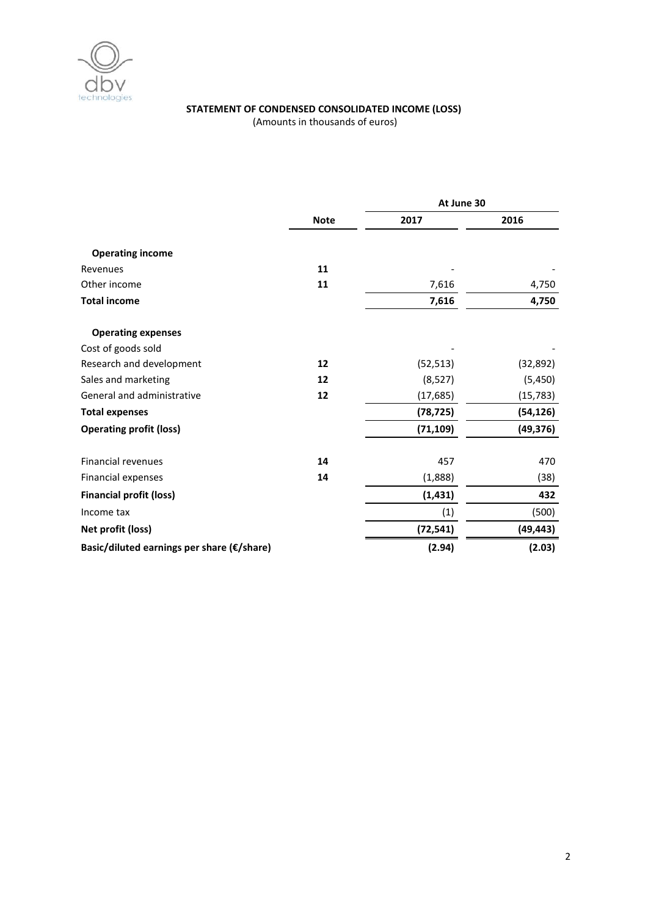

# **STATEMENT OF CONDENSED CONSOLIDATED INCOME (LOSS)**

(Amounts in thousands of euros)

|                                            |             | At June 30 |           |  |
|--------------------------------------------|-------------|------------|-----------|--|
|                                            | <b>Note</b> | 2017       | 2016      |  |
| <b>Operating income</b>                    |             |            |           |  |
| Revenues                                   | 11          |            |           |  |
| Other income                               | 11          | 7,616      | 4,750     |  |
| <b>Total income</b>                        |             | 7,616      | 4,750     |  |
| <b>Operating expenses</b>                  |             |            |           |  |
| Cost of goods sold                         |             |            |           |  |
| Research and development                   | 12          | (52, 513)  | (32, 892) |  |
| Sales and marketing                        | 12          | (8, 527)   | (5,450)   |  |
| General and administrative                 | 12          | (17, 685)  | (15, 783) |  |
| <b>Total expenses</b>                      |             | (78, 725)  | (54, 126) |  |
| <b>Operating profit (loss)</b>             |             | (71, 109)  | (49, 376) |  |
| <b>Financial revenues</b>                  | 14          | 457        | 470       |  |
| Financial expenses                         | 14          | (1,888)    | (38)      |  |
| <b>Financial profit (loss)</b>             |             | (1, 431)   | 432       |  |
| Income tax                                 |             | (1)        | (500)     |  |
| Net profit (loss)                          |             | (72, 541)  | (49, 443) |  |
| Basic/diluted earnings per share (€/share) |             | (2.94)     | (2.03)    |  |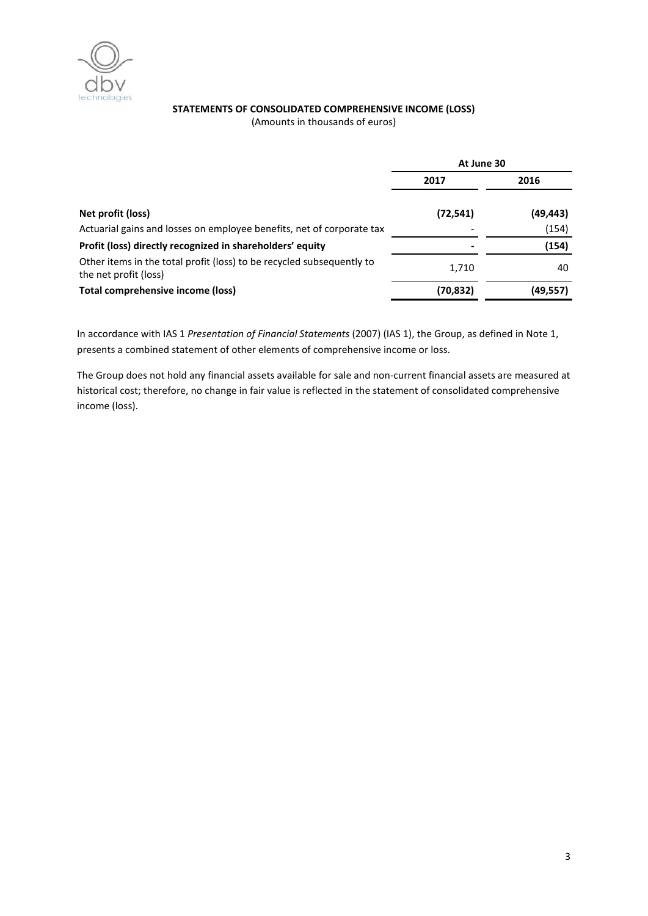

# **STATEMENTS OF CONSOLIDATED COMPREHENSIVE INCOME (LOSS)**

(Amounts in thousands of euros)

|                                                                                                | At June 30 |          |  |
|------------------------------------------------------------------------------------------------|------------|----------|--|
|                                                                                                | 2017       | 2016     |  |
| Net profit (loss)                                                                              | (72, 541)  | (49,443) |  |
| Actuarial gains and losses on employee benefits, net of corporate tax                          |            | (154)    |  |
| Profit (loss) directly recognized in shareholders' equity                                      |            | (154)    |  |
| Other items in the total profit (loss) to be recycled subsequently to<br>the net profit (loss) | 1,710      | 40       |  |
| Total comprehensive income (loss)                                                              | (70, 832)  | (49,557) |  |

In accordance with IAS 1 *Presentation of Financial Statements* (2007) (IAS 1), the Group, as defined in Note 1, presents a combined statement of other elements of comprehensive income or loss.

The Group does not hold any financial assets available for sale and non-current financial assets are measured at historical cost; therefore, no change in fair value is reflected in the statement of consolidated comprehensive income (loss).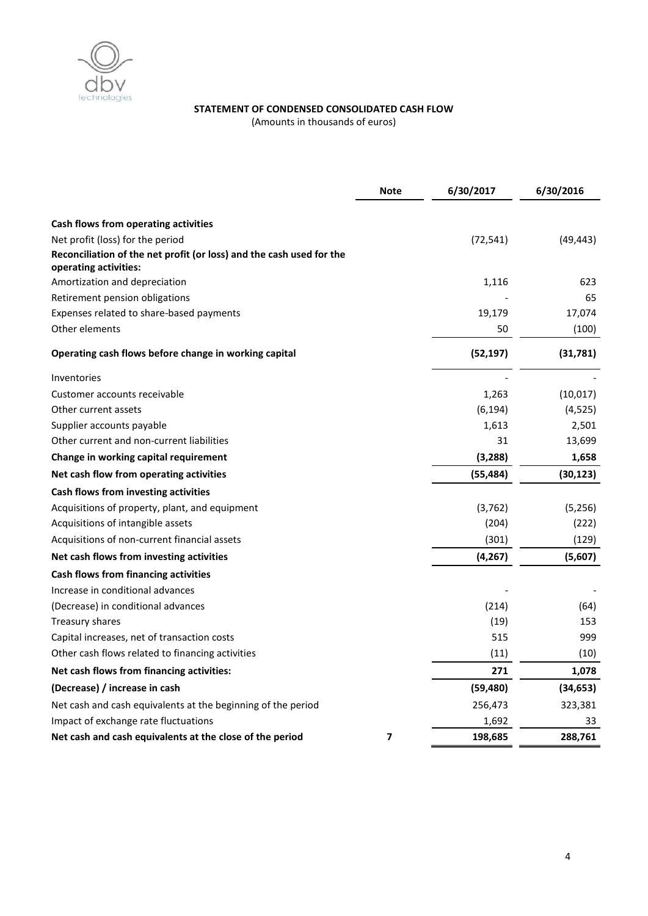

# **STATEMENT OF CONDENSED CONSOLIDATED CASH FLOW**

(Amounts in thousands of euros)

|                                                                                               | <b>Note</b> | 6/30/2017 | 6/30/2016 |
|-----------------------------------------------------------------------------------------------|-------------|-----------|-----------|
| Cash flows from operating activities                                                          |             |           |           |
| Net profit (loss) for the period                                                              |             | (72, 541) | (49, 443) |
| Reconciliation of the net profit (or loss) and the cash used for the<br>operating activities: |             |           |           |
| Amortization and depreciation                                                                 |             | 1,116     | 623       |
| Retirement pension obligations                                                                |             |           | 65        |
| Expenses related to share-based payments                                                      |             | 19,179    | 17,074    |
| Other elements                                                                                |             | 50        | (100)     |
| Operating cash flows before change in working capital                                         |             | (52, 197) | (31,781)  |
| Inventories                                                                                   |             |           |           |
| Customer accounts receivable                                                                  |             | 1,263     | (10, 017) |
| Other current assets                                                                          |             | (6, 194)  | (4, 525)  |
| Supplier accounts payable                                                                     |             | 1,613     | 2,501     |
| Other current and non-current liabilities                                                     |             | 31        | 13,699    |
| Change in working capital requirement                                                         |             | (3, 288)  | 1,658     |
| Net cash flow from operating activities                                                       |             | (55, 484) | (30, 123) |
| Cash flows from investing activities                                                          |             |           |           |
| Acquisitions of property, plant, and equipment                                                |             | (3, 762)  | (5,256)   |
| Acquisitions of intangible assets                                                             |             | (204)     | (222)     |
| Acquisitions of non-current financial assets                                                  |             | (301)     | (129)     |
| Net cash flows from investing activities                                                      |             | (4, 267)  | (5,607)   |
| Cash flows from financing activities                                                          |             |           |           |
| Increase in conditional advances                                                              |             |           |           |
| (Decrease) in conditional advances                                                            |             | (214)     | (64)      |
| Treasury shares                                                                               |             | (19)      | 153       |
| Capital increases, net of transaction costs                                                   |             | 515       | 999       |
| Other cash flows related to financing activities                                              |             | (11)      | (10)      |
| Net cash flows from financing activities:                                                     |             | 271       | 1,078     |
| (Decrease) / increase in cash                                                                 |             | (59, 480) | (34, 653) |
| Net cash and cash equivalents at the beginning of the period                                  |             | 256,473   | 323,381   |
| Impact of exchange rate fluctuations                                                          |             | 1,692     | 33        |
| Net cash and cash equivalents at the close of the period                                      | 7           | 198,685   | 288,761   |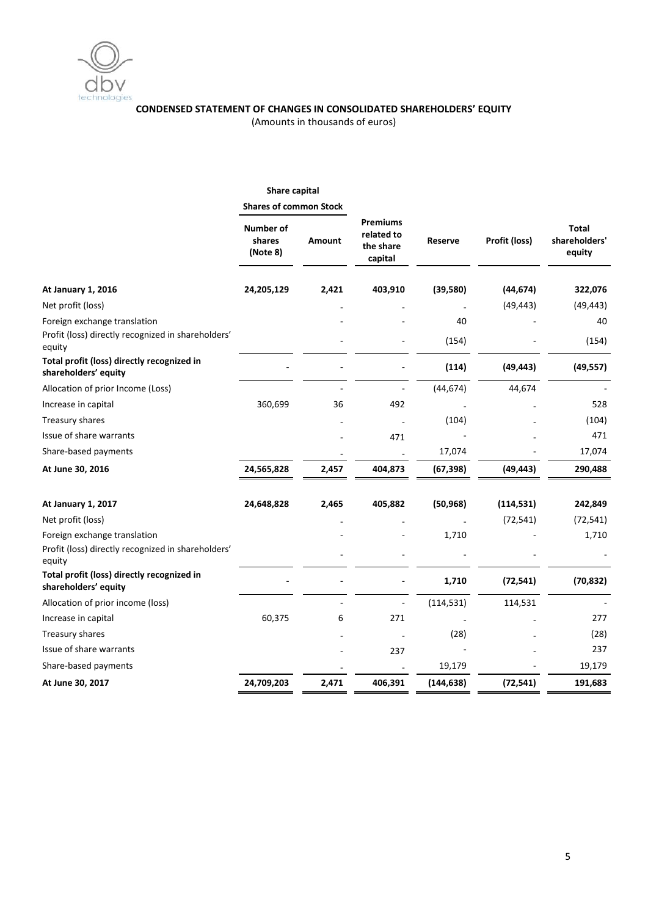

# **CONDENSED STATEMENT OF CHANGES IN CONSOLIDATED SHAREHOLDERS' EQUITY**

(Amounts in thousands of euros)

|                                                                                              | Share capital                   |        |                                                       |            |               |                                         |
|----------------------------------------------------------------------------------------------|---------------------------------|--------|-------------------------------------------------------|------------|---------------|-----------------------------------------|
|                                                                                              | <b>Shares of common Stock</b>   |        |                                                       |            |               |                                         |
|                                                                                              | Number of<br>shares<br>(Note 8) | Amount | <b>Premiums</b><br>related to<br>the share<br>capital | Reserve    | Profit (loss) | <b>Total</b><br>shareholders'<br>equity |
| At January 1, 2016                                                                           | 24,205,129                      | 2,421  | 403,910                                               | (39, 580)  | (44, 674)     | 322,076                                 |
| Net profit (loss)                                                                            |                                 |        |                                                       |            | (49, 443)     | (49, 443)                               |
| Foreign exchange translation                                                                 |                                 |        |                                                       | 40         |               | 40                                      |
| Profit (loss) directly recognized in shareholders'<br>equity                                 |                                 |        |                                                       | (154)      |               | (154)                                   |
| Total profit (loss) directly recognized in<br>shareholders' equity                           |                                 |        |                                                       | (114)      | (49, 443)     | (49, 557)                               |
| Allocation of prior Income (Loss)                                                            |                                 |        |                                                       | (44, 674)  | 44,674        |                                         |
| Increase in capital                                                                          | 360,699                         | 36     | 492                                                   |            |               | 528                                     |
| Treasury shares                                                                              |                                 |        |                                                       | (104)      |               | (104)                                   |
| Issue of share warrants                                                                      |                                 |        | 471                                                   |            |               | 471                                     |
| Share-based payments                                                                         |                                 |        |                                                       | 17,074     |               | 17,074                                  |
| At June 30, 2016                                                                             | 24,565,828                      | 2,457  | 404,873                                               | (67, 398)  | (49, 443)     | 290,488                                 |
| At January 1, 2017                                                                           | 24,648,828                      | 2,465  | 405,882                                               | (50, 968)  | (114, 531)    | 242,849                                 |
| Net profit (loss)                                                                            |                                 |        |                                                       |            | (72, 541)     | (72, 541)                               |
| Foreign exchange translation<br>Profit (loss) directly recognized in shareholders'<br>equity |                                 |        |                                                       | 1,710      |               | 1,710                                   |
| Total profit (loss) directly recognized in<br>shareholders' equity                           |                                 |        |                                                       | 1,710      | (72, 541)     | (70, 832)                               |
| Allocation of prior income (loss)                                                            |                                 |        |                                                       | (114, 531) | 114,531       |                                         |
| Increase in capital                                                                          | 60,375                          | 6      | 271                                                   |            |               | 277                                     |
| Treasury shares                                                                              |                                 |        |                                                       | (28)       |               | (28)                                    |
| Issue of share warrants                                                                      |                                 |        | 237                                                   |            |               | 237                                     |
| Share-based payments                                                                         |                                 |        |                                                       | 19,179     |               | 19,179                                  |
| At June 30, 2017                                                                             | 24,709,203                      | 2,471  | 406,391                                               | (144, 638) | (72, 541)     | 191,683                                 |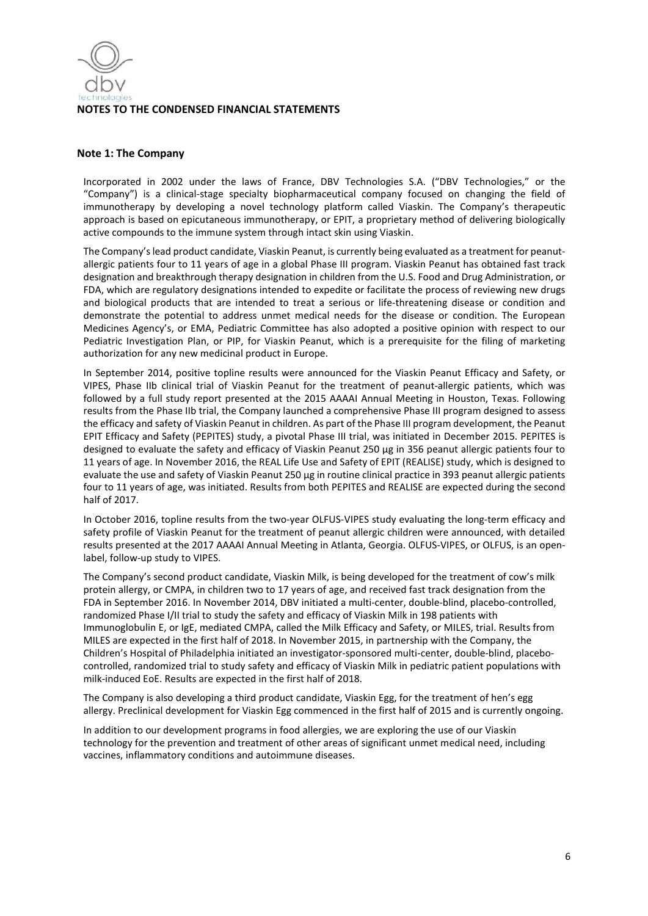

#### **Note 1: The Company**

Incorporated in 2002 under the laws of France, DBV Technologies S.A. ("DBV Technologies," or the "Company") is a clinical-stage specialty biopharmaceutical company focused on changing the field of immunotherapy by developing a novel technology platform called Viaskin. The Company's therapeutic approach is based on epicutaneous immunotherapy, or EPIT, a proprietary method of delivering biologically active compounds to the immune system through intact skin using Viaskin.

The Company's lead product candidate, Viaskin Peanut, is currently being evaluated as a treatment for peanutallergic patients four to 11 years of age in a global Phase III program. Viaskin Peanut has obtained fast track designation and breakthrough therapy designation in children from the U.S. Food and Drug Administration, or FDA, which are regulatory designations intended to expedite or facilitate the process of reviewing new drugs and biological products that are intended to treat a serious or life-threatening disease or condition and demonstrate the potential to address unmet medical needs for the disease or condition. The European Medicines Agency's, or EMA, Pediatric Committee has also adopted a positive opinion with respect to our Pediatric Investigation Plan, or PIP, for Viaskin Peanut, which is a prerequisite for the filing of marketing authorization for any new medicinal product in Europe.

In September 2014, positive topline results were announced for the Viaskin Peanut Efficacy and Safety, or VIPES, Phase IIb clinical trial of Viaskin Peanut for the treatment of peanut-allergic patients, which was followed by a full study report presented at the 2015 AAAAI Annual Meeting in Houston, Texas. Following results from the Phase IIb trial, the Company launched a comprehensive Phase III program designed to assess the efficacy and safety of Viaskin Peanut in children. As part of the Phase III program development, the Peanut EPIT Efficacy and Safety (PEPITES) study, a pivotal Phase III trial, was initiated in December 2015. PEPITES is designed to evaluate the safety and efficacy of Viaskin Peanut 250 μg in 356 peanut allergic patients four to 11 years of age. In November 2016, the REAL Life Use and Safety of EPIT (REALISE) study, which is designed to evaluate the use and safety of Viaskin Peanut 250 μg in routine clinical practice in 393 peanut allergic patients four to 11 years of age, was initiated. Results from both PEPITES and REALISE are expected during the second half of 2017.

In October 2016, topline results from the two-year OLFUS-VIPES study evaluating the long-term efficacy and safety profile of Viaskin Peanut for the treatment of peanut allergic children were announced, with detailed results presented at the 2017 AAAAI Annual Meeting in Atlanta, Georgia. OLFUS-VIPES, or OLFUS, is an openlabel, follow-up study to VIPES.

The Company's second product candidate, Viaskin Milk, is being developed for the treatment of cow's milk protein allergy, or CMPA, in children two to 17 years of age, and received fast track designation from the FDA in September 2016. In November 2014, DBV initiated a multi-center, double-blind, placebo-controlled, randomized Phase I/II trial to study the safety and efficacy of Viaskin Milk in 198 patients with Immunoglobulin E, or IgE, mediated CMPA, called the Milk Efficacy and Safety, or MILES, trial. Results from MILES are expected in the first half of 2018. In November 2015, in partnership with the Company, the Children's Hospital of Philadelphia initiated an investigator-sponsored multi-center, double-blind, placebocontrolled, randomized trial to study safety and efficacy of Viaskin Milk in pediatric patient populations with milk-induced EoE. Results are expected in the first half of 2018.

The Company is also developing a third product candidate, Viaskin Egg, for the treatment of hen's egg allergy. Preclinical development for Viaskin Egg commenced in the first half of 2015 and is currently ongoing.

In addition to our development programs in food allergies, we are exploring the use of our Viaskin technology for the prevention and treatment of other areas of significant unmet medical need, including vaccines, inflammatory conditions and autoimmune diseases.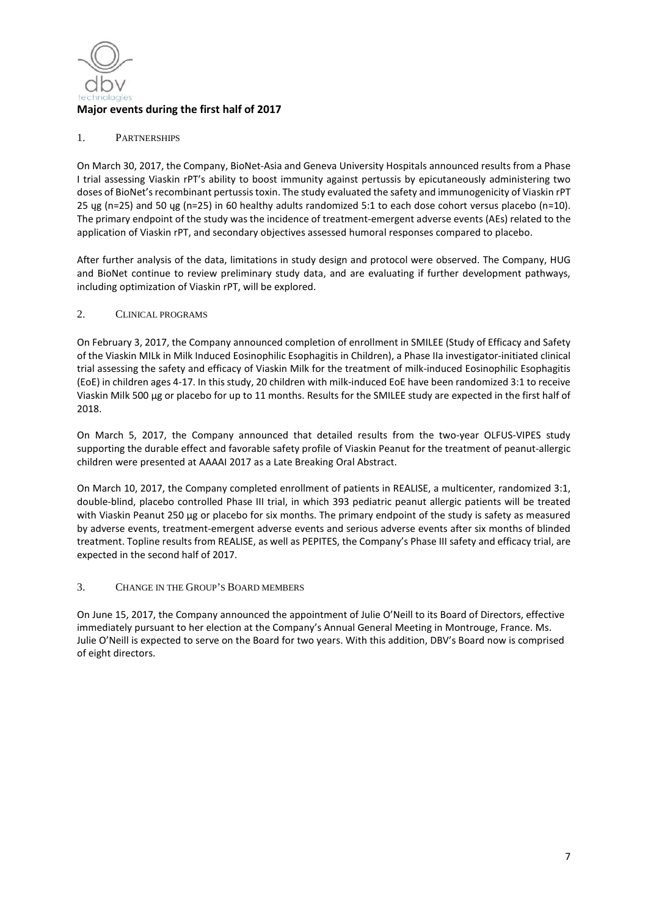

## 1. PARTNERSHIPS

On March 30, 2017, the Company, BioNet-Asia and Geneva University Hospitals announced results from a Phase I trial assessing Viaskin rPT's ability to boost immunity against pertussis by epicutaneously administering two doses of BioNet's recombinant pertussis toxin. The study evaluated the safety and immunogenicity of Viaskin rPT 25 ųg (n=25) and 50 ųg (n=25) in 60 healthy adults randomized 5:1 to each dose cohort versus placebo (n=10). The primary endpoint of the study was the incidence of treatment-emergent adverse events (AEs) related to the application of Viaskin rPT, and secondary objectives assessed humoral responses compared to placebo.

After further analysis of the data, limitations in study design and protocol were observed. The Company, HUG and BioNet continue to review preliminary study data, and are evaluating if further development pathways, including optimization of Viaskin rPT, will be explored.

#### 2. CLINICAL PROGRAMS

On February 3, 2017, the Company announced completion of enrollment in SMILEE (Study of Efficacy and Safety of the Viaskin MILk in Milk Induced Eosinophilic Esophagitis in Children), a Phase IIa investigator-initiated clinical trial assessing the safety and efficacy of Viaskin Milk for the treatment of milk-induced Eosinophilic Esophagitis (EoE) in children ages 4-17. In this study, 20 children with milk-induced EoE have been randomized 3:1 to receive Viaskin Milk 500 µg or placebo for up to 11 months. Results for the SMILEE study are expected in the first half of 2018.

On March 5, 2017, the Company announced that detailed results from the two-year OLFUS-VIPES study supporting the durable effect and favorable safety profile of Viaskin Peanut for the treatment of peanut-allergic children were presented at AAAAI 2017 as a Late Breaking Oral Abstract.

On March 10, 2017, the Company completed enrollment of patients in REALISE, a multicenter, randomized 3:1, double-blind, placebo controlled Phase III trial, in which 393 pediatric peanut allergic patients will be treated with Viaskin Peanut 250 μg or placebo for six months. The primary endpoint of the study is safety as measured by adverse events, treatment-emergent adverse events and serious adverse events after six months of blinded treatment. Topline results from REALISE, as well as PEPITES, the Company's Phase III safety and efficacy trial, are expected in the second half of 2017.

## 3. CHANGE IN THE GROUP'S BOARD MEMBERS

On June 15, 2017, the Company announced the appointment of Julie O'Neill to its Board of Directors, effective immediately pursuant to her election at the Company's Annual General Meeting in Montrouge, France. Ms. Julie O'Neill is expected to serve on the Board for two years. With this addition, DBV's Board now is comprised of eight directors.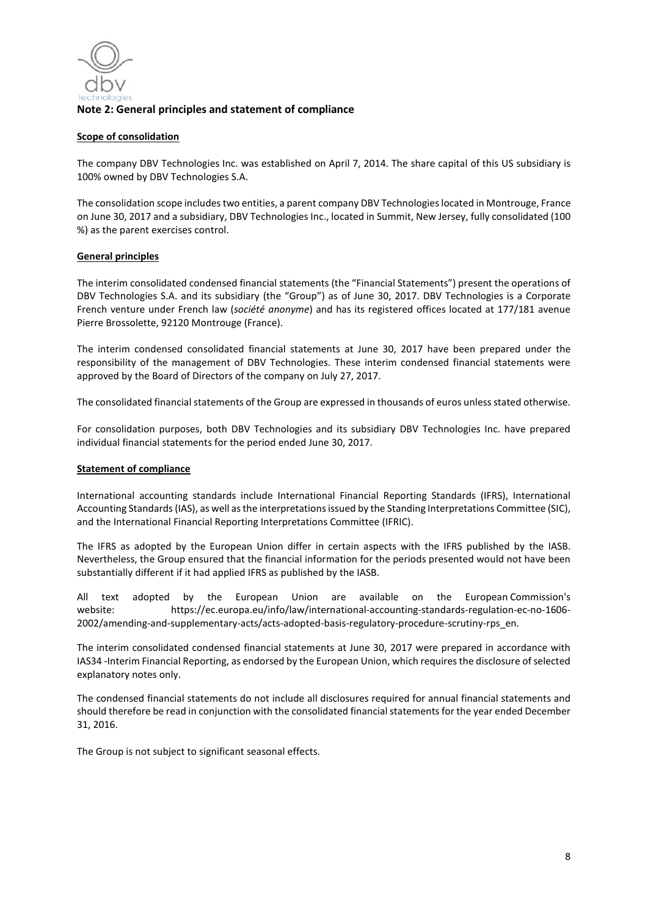

## **Note 2: General principles and statement of compliance**

#### **Scope of consolidation**

The company DBV Technologies Inc. was established on April 7, 2014. The share capital of this US subsidiary is 100% owned by DBV Technologies S.A.

The consolidation scope includes two entities, a parent company DBV Technologies located in Montrouge, France on June 30, 2017 and a subsidiary, DBV Technologies Inc., located in Summit, New Jersey, fully consolidated (100 %) as the parent exercises control.

#### **General principles**

The interim consolidated condensed financial statements (the "Financial Statements") present the operations of DBV Technologies S.A. and its subsidiary (the "Group") as of June 30, 2017. DBV Technologies is a Corporate French venture under French law (*société anonyme*) and has its registered offices located at 177/181 avenue Pierre Brossolette, 92120 Montrouge (France).

The interim condensed consolidated financial statements at June 30, 2017 have been prepared under the responsibility of the management of DBV Technologies. These interim condensed financial statements were approved by the Board of Directors of the company on July 27, 2017.

The consolidated financial statements of the Group are expressed in thousands of euros unless stated otherwise.

For consolidation purposes, both DBV Technologies and its subsidiary DBV Technologies Inc. have prepared individual financial statements for the period ended June 30, 2017.

#### **Statement of compliance**

International accounting standards include International Financial Reporting Standards (IFRS), International Accounting Standards (IAS), as well as the interpretations issued by the Standing Interpretations Committee (SIC), and the International Financial Reporting Interpretations Committee (IFRIC).

The IFRS as adopted by the European Union differ in certain aspects with the IFRS published by the IASB. Nevertheless, the Group ensured that the financial information for the periods presented would not have been substantially different if it had applied IFRS as published by the IASB.

All text adopted by the European Union are available on the European Commission's website: https://ec.europa.eu/info/law/international-accounting-standards-regulation-ec-no-1606- 2002/amending-and-supplementary-acts/acts-adopted-basis-regulatory-procedure-scrutiny-rps\_en.

The interim consolidated condensed financial statements at June 30, 2017 were prepared in accordance with IAS34 -Interim Financial Reporting, as endorsed by the European Union, which requires the disclosure of selected explanatory notes only.

The condensed financial statements do not include all disclosures required for annual financial statements and should therefore be read in conjunction with the consolidated financial statements for the year ended December 31, 2016.

The Group is not subject to significant seasonal effects.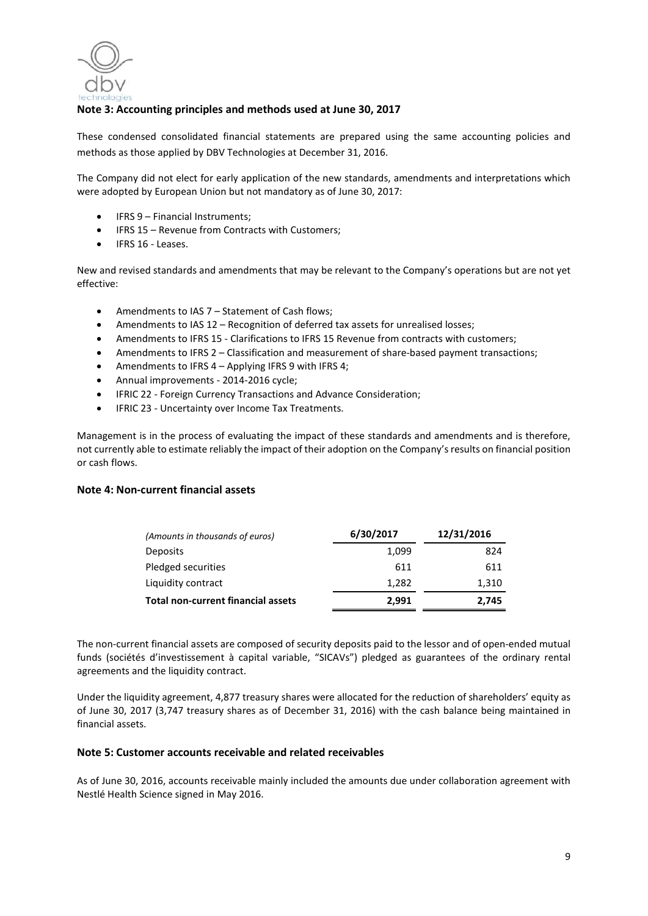

# **Note 3: Accounting principles and methods used at June 30, 2017**

These condensed consolidated financial statements are prepared using the same accounting policies and methods as those applied by DBV Technologies at December 31, 2016.

The Company did not elect for early application of the new standards, amendments and interpretations which were adopted by European Union but not mandatory as of June 30, 2017:

- IFRS 9 Financial Instruments;
- IFRS 15 Revenue from Contracts with Customers;
- IFRS 16 Leases.

New and revised standards and amendments that may be relevant to the Company's operations but are not yet effective:

- Amendments to IAS 7 Statement of Cash flows;
- Amendments to IAS 12 Recognition of deferred tax assets for unrealised losses;
- Amendments to IFRS 15 Clarifications to IFRS 15 Revenue from contracts with customers;
- Amendments to IFRS 2 Classification and measurement of share-based payment transactions;
- Amendments to IFRS 4 Applying IFRS 9 with IFRS 4;
- Annual improvements 2014-2016 cycle;
- IFRIC 22 Foreign Currency Transactions and Advance Consideration;
- IFRIC 23 Uncertainty over Income Tax Treatments.

Management is in the process of evaluating the impact of these standards and amendments and is therefore, not currently able to estimate reliably the impact of their adoption on the Company's results on financial position or cash flows.

#### **Note 4: Non-current financial assets**

| (Amounts in thousands of euros)    | 6/30/2017 | 12/31/2016 |
|------------------------------------|-----------|------------|
| <b>Deposits</b>                    | 1,099     | 824        |
| Pledged securities                 | 611       | 611        |
| Liquidity contract                 | 1,282     | 1,310      |
| Total non-current financial assets | 2.991     | 2,745      |

The non-current financial assets are composed of security deposits paid to the lessor and of open-ended mutual funds (sociétés d'investissement à capital variable, "SICAVs") pledged as guarantees of the ordinary rental agreements and the liquidity contract.

Under the liquidity agreement, 4,877 treasury shares were allocated for the reduction of shareholders' equity as of June 30, 2017 (3,747 treasury shares as of December 31, 2016) with the cash balance being maintained in financial assets.

#### **Note 5: Customer accounts receivable and related receivables**

As of June 30, 2016, accounts receivable mainly included the amounts due under collaboration agreement with Nestlé Health Science signed in May 2016.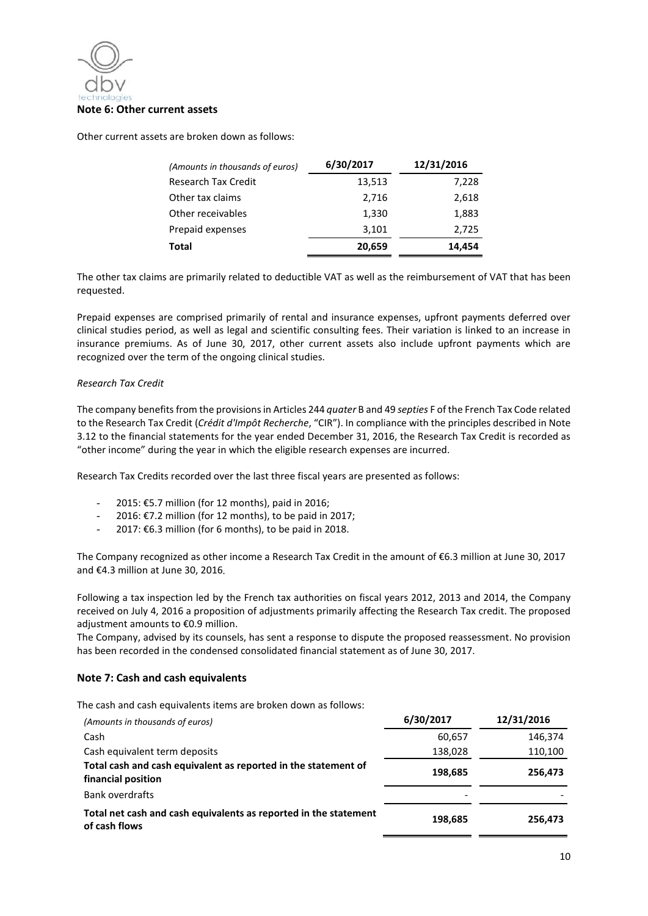

Other current assets are broken down as follows:

| (Amounts in thousands of euros) | 6/30/2017 | 12/31/2016 |
|---------------------------------|-----------|------------|
| <b>Research Tax Credit</b>      | 13,513    | 7,228      |
| Other tax claims                | 2,716     | 2,618      |
| Other receivables               | 1,330     | 1,883      |
| Prepaid expenses                | 3,101     | 2,725      |
| Total                           | 20,659    | 14,454     |

The other tax claims are primarily related to deductible VAT as well as the reimbursement of VAT that has been requested.

Prepaid expenses are comprised primarily of rental and insurance expenses, upfront payments deferred over clinical studies period, as well as legal and scientific consulting fees. Their variation is linked to an increase in insurance premiums. As of June 30, 2017, other current assets also include upfront payments which are recognized over the term of the ongoing clinical studies.

#### *Research Tax Credit*

The company benefits from the provisions in Articles 244 *quater* B and 49 *septies* F of the French Tax Code related to the Research Tax Credit (*Crédit d'Impôt Recherche*, "CIR"). In compliance with the principles described in Note 3.12 to the financial statements for the year ended December 31, 2016, the Research Tax Credit is recorded as "other income" during the year in which the eligible research expenses are incurred.

Research Tax Credits recorded over the last three fiscal years are presented as follows:

- 2015: €5.7 million (for 12 months), paid in 2016;
- 2016: €7.2 million (for 12 months), to be paid in 2017;
- 2017:  $E6.3$  million (for 6 months), to be paid in 2018.

The Company recognized as other income a Research Tax Credit in the amount of €6.3 million at June 30, 2017 and €4.3 million at June 30, 2016.

Following a tax inspection led by the French tax authorities on fiscal years 2012, 2013 and 2014, the Company received on July 4, 2016 a proposition of adjustments primarily affecting the Research Tax credit. The proposed adjustment amounts to €0.9 million.

The Company, advised by its counsels, has sent a response to dispute the proposed reassessment. No provision has been recorded in the condensed consolidated financial statement as of June 30, 2017.

## **Note 7: Cash and cash equivalents**

The cash and cash equivalents items are broken down as follows:

| (Amounts in thousands of euros)                                                      | 6/30/2017 | 12/31/2016 |
|--------------------------------------------------------------------------------------|-----------|------------|
| Cash                                                                                 | 60,657    | 146,374    |
| Cash equivalent term deposits                                                        | 138,028   | 110,100    |
| Total cash and cash equivalent as reported in the statement of<br>financial position | 198,685   | 256,473    |
| Bank overdrafts                                                                      |           |            |
| Total net cash and cash equivalents as reported in the statement<br>of cash flows    | 198,685   | 256,473    |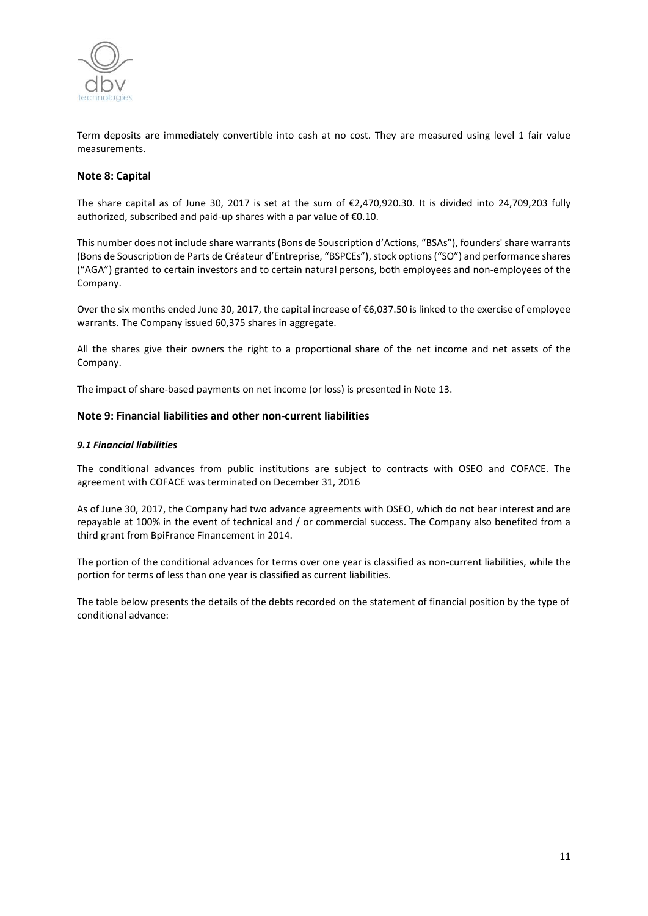

Term deposits are immediately convertible into cash at no cost. They are measured using level 1 fair value measurements.

## **Note 8: Capital**

The share capital as of June 30, 2017 is set at the sum of €2,470,920.30. It is divided into 24,709,203 fully authorized, subscribed and paid-up shares with a par value of €0.10.

This number does not include share warrants (Bons de Souscription d'Actions, "BSAs"), founders' share warrants (Bons de Souscription de Parts de Créateur d'Entreprise, "BSPCEs"), stock options ("SO") and performance shares ("AGA") granted to certain investors and to certain natural persons, both employees and non-employees of the Company.

Over the six months ended June 30, 2017, the capital increase of €6,037.50 is linked to the exercise of employee warrants. The Company issued 60,375 shares in aggregate.

All the shares give their owners the right to a proportional share of the net income and net assets of the Company.

The impact of share-based payments on net income (or loss) is presented in Note 13.

#### **Note 9: Financial liabilities and other non-current liabilities**

#### *9.1 Financial liabilities*

The conditional advances from public institutions are subject to contracts with OSEO and COFACE. The agreement with COFACE was terminated on December 31, 2016

As of June 30, 2017, the Company had two advance agreements with OSEO, which do not bear interest and are repayable at 100% in the event of technical and / or commercial success. The Company also benefited from a third grant from BpiFrance Financement in 2014.

The portion of the conditional advances for terms over one year is classified as non-current liabilities, while the portion for terms of less than one year is classified as current liabilities.

The table below presents the details of the debts recorded on the statement of financial position by the type of conditional advance: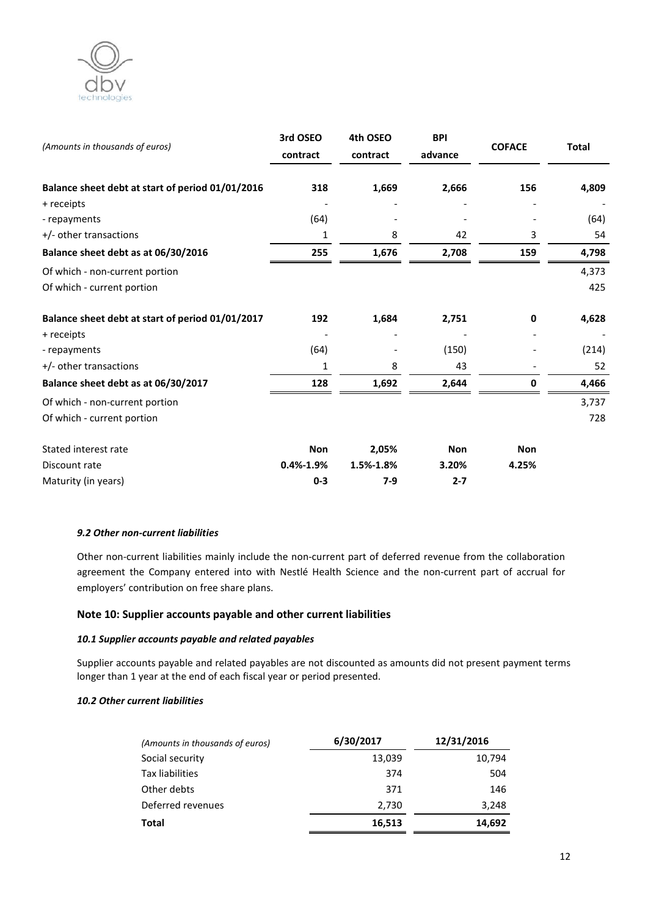

| (Amounts in thousands of euros)                  | 3rd OSEO<br>contract | 4th OSEO<br>contract | <b>BPI</b><br>advance | <b>COFACE</b> | <b>Total</b> |
|--------------------------------------------------|----------------------|----------------------|-----------------------|---------------|--------------|
| Balance sheet debt at start of period 01/01/2016 | 318                  | 1,669                | 2,666                 | 156           | 4,809        |
| + receipts                                       |                      |                      |                       |               |              |
| - repayments                                     | (64)                 |                      |                       |               | (64)         |
| +/- other transactions                           | 1                    | 8                    | 42                    | 3             | 54           |
| Balance sheet debt as at 06/30/2016              | 255                  | 1,676                | 2,708                 | 159           | 4,798        |
| Of which - non-current portion                   |                      |                      |                       |               | 4,373        |
| Of which - current portion                       |                      |                      |                       |               | 425          |
| Balance sheet debt at start of period 01/01/2017 | 192                  | 1,684                | 2,751                 | 0             | 4,628        |
| + receipts                                       |                      |                      |                       |               |              |
| - repayments                                     | (64)                 |                      | (150)                 |               | (214)        |
| +/- other transactions                           | 1                    | 8                    | 43                    |               | 52           |
| Balance sheet debt as at 06/30/2017              | 128                  | 1,692                | 2,644                 | 0             | 4,466        |
| Of which - non-current portion                   |                      |                      |                       |               | 3,737        |
| Of which - current portion                       |                      |                      |                       |               | 728          |
| Stated interest rate                             | <b>Non</b>           | 2,05%                | <b>Non</b>            | <b>Non</b>    |              |
| Discount rate                                    | $0.4\% - 1.9\%$      | 1.5%-1.8%            | 3.20%                 | 4.25%         |              |
| Maturity (in years)                              | $0 - 3$              | $7-9$                | $2 - 7$               |               |              |

#### *9.2 Other non-current liabilities*

Other non-current liabilities mainly include the non-current part of deferred revenue from the collaboration agreement the Company entered into with Nestlé Health Science and the non-current part of accrual for employers' contribution on free share plans.

## **Note 10: Supplier accounts payable and other current liabilities**

## *10.1 Supplier accounts payable and related payables*

Supplier accounts payable and related payables are not discounted as amounts did not present payment terms longer than 1 year at the end of each fiscal year or period presented.

## *10.2 Other current liabilities*

| (Amounts in thousands of euros) | 6/30/2017 | 12/31/2016 |
|---------------------------------|-----------|------------|
| Social security                 | 13,039    | 10,794     |
| Tax liabilities                 | 374       | 504        |
| Other debts                     | 371       | 146        |
| Deferred revenues               | 2,730     | 3,248      |
| Total                           | 16,513    | 14,692     |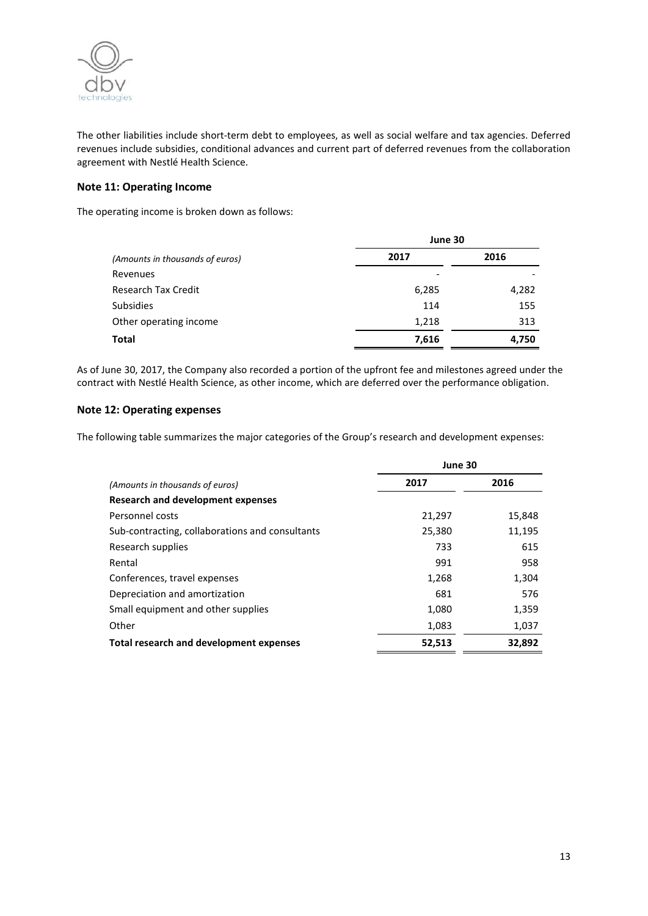

The other liabilities include short-term debt to employees, as well as social welfare and tax agencies. Deferred revenues include subsidies, conditional advances and current part of deferred revenues from the collaboration agreement with Nestlé Health Science.

## **Note 11: Operating Income**

The operating income is broken down as follows:

|                                 | June 30 |       |  |
|---------------------------------|---------|-------|--|
| (Amounts in thousands of euros) | 2017    | 2016  |  |
| Revenues                        |         |       |  |
| <b>Research Tax Credit</b>      | 6,285   | 4,282 |  |
| <b>Subsidies</b>                | 114     | 155   |  |
| Other operating income          | 1,218   | 313   |  |
| <b>Total</b>                    | 7,616   | 4,750 |  |

As of June 30, 2017, the Company also recorded a portion of the upfront fee and milestones agreed under the contract with Nestlé Health Science, as other income, which are deferred over the performance obligation.

## **Note 12: Operating expenses**

The following table summarizes the major categories of the Group's research and development expenses:

|                                                 | June 30 |        |
|-------------------------------------------------|---------|--------|
| (Amounts in thousands of euros)                 | 2017    | 2016   |
| Research and development expenses               |         |        |
| Personnel costs                                 | 21,297  | 15,848 |
| Sub-contracting, collaborations and consultants | 25,380  | 11,195 |
| Research supplies                               | 733     | 615    |
| Rental                                          | 991     | 958    |
| Conferences, travel expenses                    | 1,268   | 1,304  |
| Depreciation and amortization                   | 681     | 576    |
| Small equipment and other supplies              | 1,080   | 1,359  |
| Other                                           | 1,083   | 1,037  |
| <b>Total research and development expenses</b>  | 52,513  | 32,892 |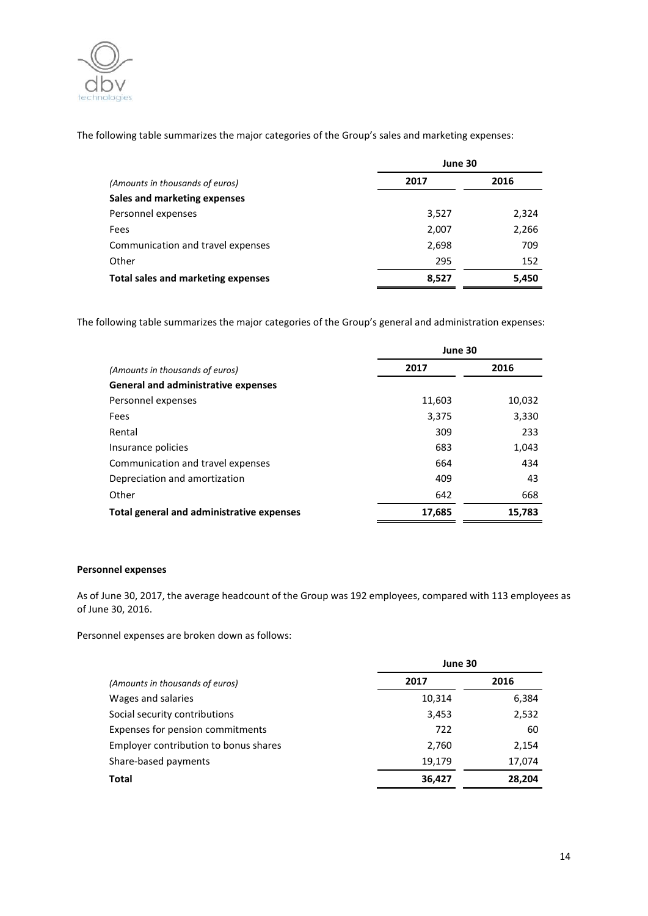

The following table summarizes the major categories of the Group's sales and marketing expenses:

|                                    | June 30 |       |
|------------------------------------|---------|-------|
| (Amounts in thousands of euros)    | 2017    | 2016  |
| Sales and marketing expenses       |         |       |
| Personnel expenses                 | 3,527   | 2,324 |
| Fees                               | 2,007   | 2,266 |
| Communication and travel expenses  | 2,698   | 709   |
| Other                              | 295     | 152   |
| Total sales and marketing expenses | 8,527   | 5,450 |

The following table summarizes the major categories of the Group's general and administration expenses:

|                                            | June 30 |        |
|--------------------------------------------|---------|--------|
| (Amounts in thousands of euros)            | 2017    | 2016   |
| <b>General and administrative expenses</b> |         |        |
| Personnel expenses                         | 11,603  | 10,032 |
| Fees                                       | 3,375   | 3,330  |
| Rental                                     | 309     | 233    |
| Insurance policies                         | 683     | 1,043  |
| Communication and travel expenses          | 664     | 434    |
| Depreciation and amortization              | 409     | 43     |
| Other                                      | 642     | 668    |
| Total general and administrative expenses  | 17,685  | 15,783 |

## **Personnel expenses**

As of June 30, 2017, the average headcount of the Group was 192 employees, compared with 113 employees as of June 30, 2016.

Personnel expenses are broken down as follows:

| June 30 |        |
|---------|--------|
| 2017    | 2016   |
| 10,314  | 6,384  |
| 3,453   | 2,532  |
| 722     | 60     |
| 2,760   | 2,154  |
| 19,179  | 17,074 |
| 36,427  | 28,204 |
|         |        |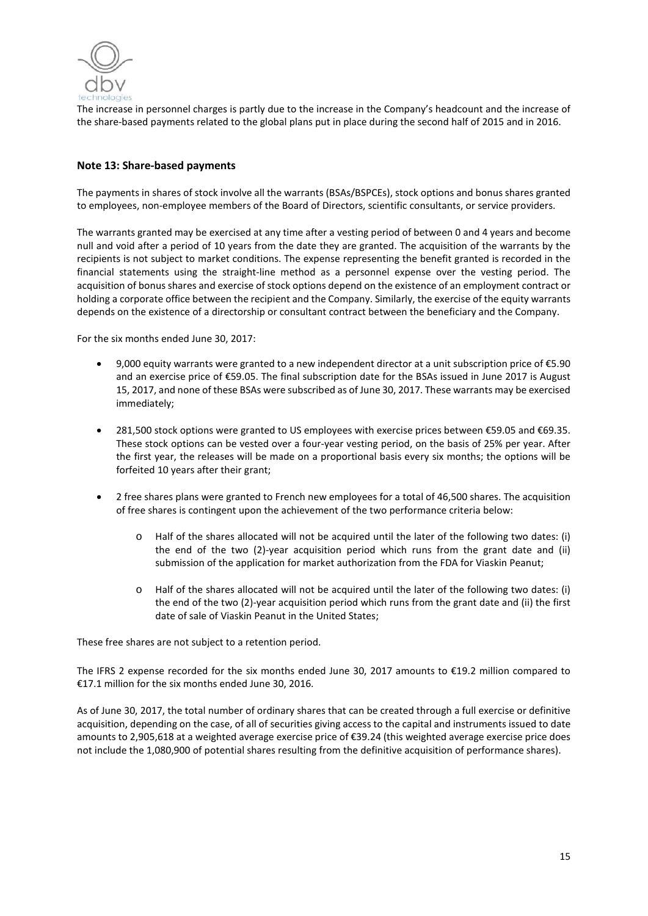

The increase in personnel charges is partly due to the increase in the Company's headcount and the increase of the share-based payments related to the global plans put in place during the second half of 2015 and in 2016.

## **Note 13: Share-based payments**

The payments in shares of stock involve all the warrants (BSAs/BSPCEs), stock options and bonus shares granted to employees, non-employee members of the Board of Directors, scientific consultants, or service providers.

The warrants granted may be exercised at any time after a vesting period of between 0 and 4 years and become null and void after a period of 10 years from the date they are granted. The acquisition of the warrants by the recipients is not subject to market conditions. The expense representing the benefit granted is recorded in the financial statements using the straight-line method as a personnel expense over the vesting period. The acquisition of bonus shares and exercise of stock options depend on the existence of an employment contract or holding a corporate office between the recipient and the Company. Similarly, the exercise of the equity warrants depends on the existence of a directorship or consultant contract between the beneficiary and the Company.

For the six months ended June 30, 2017:

- 9,000 equity warrants were granted to a new independent director at a unit subscription price of €5.90 and an exercise price of €59.05. The final subscription date for the BSAs issued in June 2017 is August 15, 2017, and none of these BSAs were subscribed as of June 30, 2017. These warrants may be exercised immediately;
- 281,500 stock options were granted to US employees with exercise prices between €59.05 and €69.35. These stock options can be vested over a four-year vesting period, on the basis of 25% per year. After the first year, the releases will be made on a proportional basis every six months; the options will be forfeited 10 years after their grant;
- 2 free shares plans were granted to French new employees for a total of 46,500 shares. The acquisition of free shares is contingent upon the achievement of the two performance criteria below:
	- o Half of the shares allocated will not be acquired until the later of the following two dates: (i) the end of the two (2)-year acquisition period which runs from the grant date and (ii) submission of the application for market authorization from the FDA for Viaskin Peanut;
	- o Half of the shares allocated will not be acquired until the later of the following two dates: (i) the end of the two (2)-year acquisition period which runs from the grant date and (ii) the first date of sale of Viaskin Peanut in the United States;

These free shares are not subject to a retention period.

The IFRS 2 expense recorded for the six months ended June 30, 2017 amounts to €19.2 million compared to €17.1 million for the six months ended June 30, 2016.

As of June 30, 2017, the total number of ordinary shares that can be created through a full exercise or definitive acquisition, depending on the case, of all of securities giving access to the capital and instruments issued to date amounts to 2,905,618 at a weighted average exercise price of €39.24 (this weighted average exercise price does not include the 1,080,900 of potential shares resulting from the definitive acquisition of performance shares).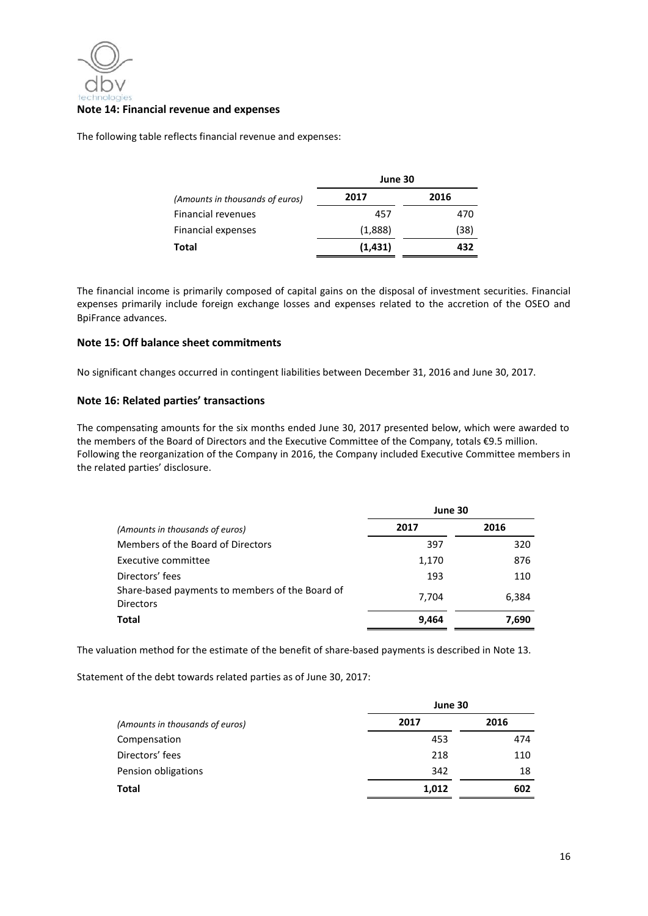

#### **Note 14: Financial revenue and expenses**

The following table reflects financial revenue and expenses:

|                                 | June 30 |      |
|---------------------------------|---------|------|
| (Amounts in thousands of euros) | 2017    | 2016 |
| Financial revenues              | 457     | 470  |
| <b>Financial expenses</b>       | (1,888) | (38) |
| Total                           | (1,431) | 432  |

The financial income is primarily composed of capital gains on the disposal of investment securities. Financial expenses primarily include foreign exchange losses and expenses related to the accretion of the OSEO and BpiFrance advances.

#### **Note 15: Off balance sheet commitments**

No significant changes occurred in contingent liabilities between December 31, 2016 and June 30, 2017.

## **Note 16: Related parties' transactions**

The compensating amounts for the six months ended June 30, 2017 presented below, which were awarded to the members of the Board of Directors and the Executive Committee of the Company, totals €9.5 million. Following the reorganization of the Company in 2016, the Company included Executive Committee members in the related parties' disclosure.

|                                                                     | June 30 |       |
|---------------------------------------------------------------------|---------|-------|
| (Amounts in thousands of euros)                                     | 2017    | 2016  |
| Members of the Board of Directors                                   | 397     | 320   |
| Executive committee                                                 | 1,170   | 876   |
| Directors' fees                                                     | 193     | 110   |
| Share-based payments to members of the Board of<br><b>Directors</b> | 7,704   | 6,384 |
| Total                                                               | 9,464   | 7,690 |

The valuation method for the estimate of the benefit of share-based payments is described in Note 13.

Statement of the debt towards related parties as of June 30, 2017:

|                                 | June 30 |      |
|---------------------------------|---------|------|
| (Amounts in thousands of euros) | 2017    | 2016 |
| Compensation                    | 453     | 474  |
| Directors' fees                 | 218     | 110  |
| Pension obligations             | 342     | 18   |
| <b>Total</b>                    | 1,012   | 602  |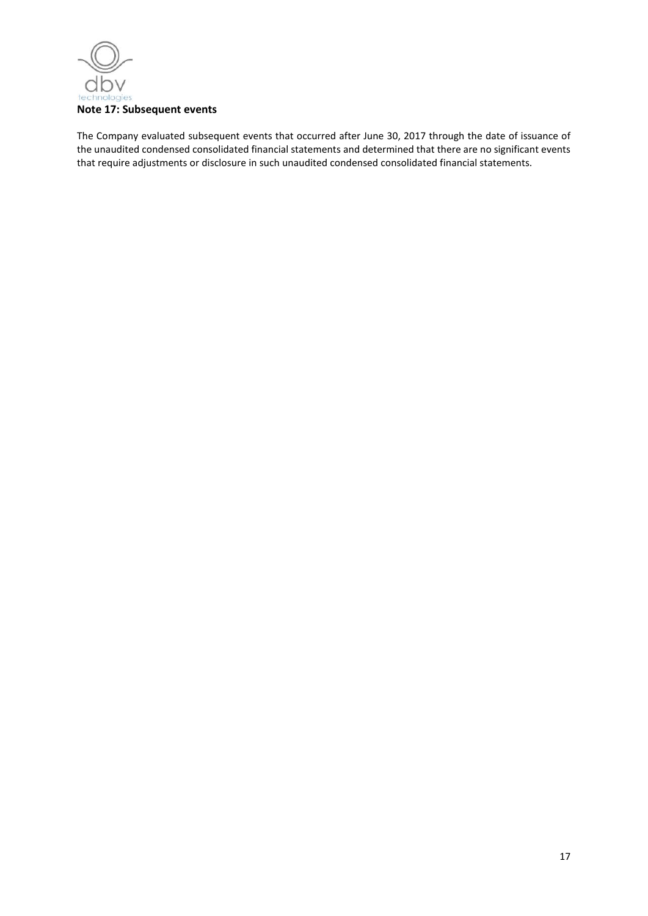

The Company evaluated subsequent events that occurred after June 30, 2017 through the date of issuance of the unaudited condensed consolidated financial statements and determined that there are no significant events that require adjustments or disclosure in such unaudited condensed consolidated financial statements.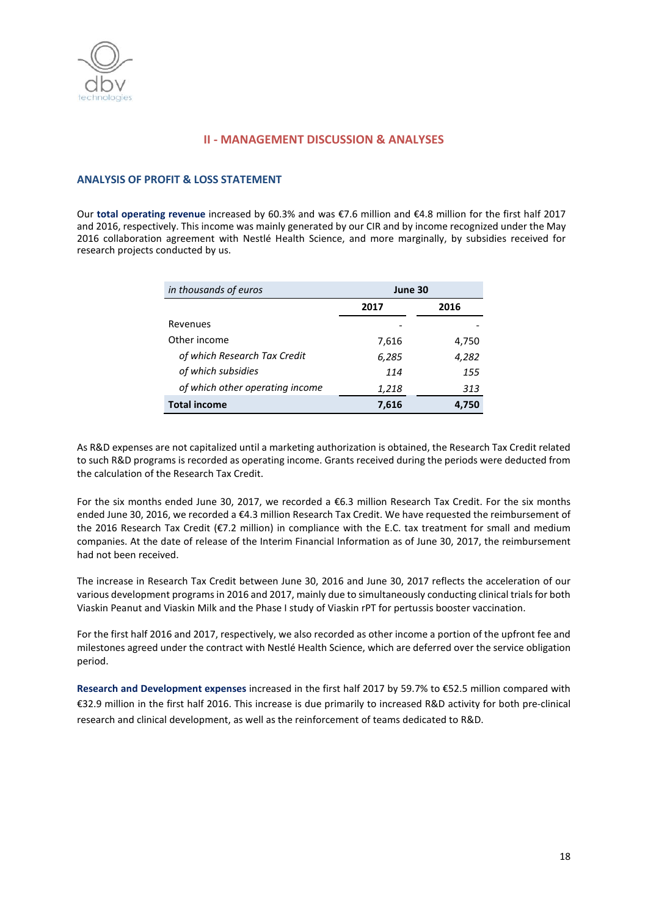

## **II - MANAGEMENT DISCUSSION & ANALYSES**

#### **ANALYSIS OF PROFIT & LOSS STATEMENT**

Our **total operating revenue** increased by 60.3% and was €7.6 million and €4.8 million for the first half 2017 and 2016, respectively. This income was mainly generated by our CIR and by income recognized under the May 2016 collaboration agreement with Nestlé Health Science, and more marginally, by subsidies received for research projects conducted by us.

| in thousands of euros           | June 30 |       |
|---------------------------------|---------|-------|
|                                 | 2017    | 2016  |
| Revenues                        |         |       |
| Other income                    | 7,616   | 4,750 |
| of which Research Tax Credit    | 6,285   | 4,282 |
| of which subsidies              | 114     | 155   |
| of which other operating income | 1,218   | 313   |
| <b>Total income</b>             | 7,616   | 4.750 |

As R&D expenses are not capitalized until a marketing authorization is obtained, the Research Tax Credit related to such R&D programs is recorded as operating income. Grants received during the periods were deducted from the calculation of the Research Tax Credit.

For the six months ended June 30, 2017, we recorded a €6.3 million Research Tax Credit. For the six months ended June 30, 2016, we recorded a €4.3 million Research Tax Credit. We have requested the reimbursement of the 2016 Research Tax Credit (€7.2 million) in compliance with the E.C. tax treatment for small and medium companies. At the date of release of the Interim Financial Information as of June 30, 2017, the reimbursement had not been received.

The increase in Research Tax Credit between June 30, 2016 and June 30, 2017 reflects the acceleration of our various development programs in 2016 and 2017, mainly due to simultaneously conducting clinical trials for both Viaskin Peanut and Viaskin Milk and the Phase I study of Viaskin rPT for pertussis booster vaccination.

For the first half 2016 and 2017, respectively, we also recorded as other income a portion of the upfront fee and milestones agreed under the contract with Nestlé Health Science, which are deferred over the service obligation period.

**Research and Development expenses** increased in the first half 2017 by 59.7% to €52.5 million compared with €32.9 million in the first half 2016. This increase is due primarily to increased R&D activity for both pre-clinical research and clinical development, as well as the reinforcement of teams dedicated to R&D.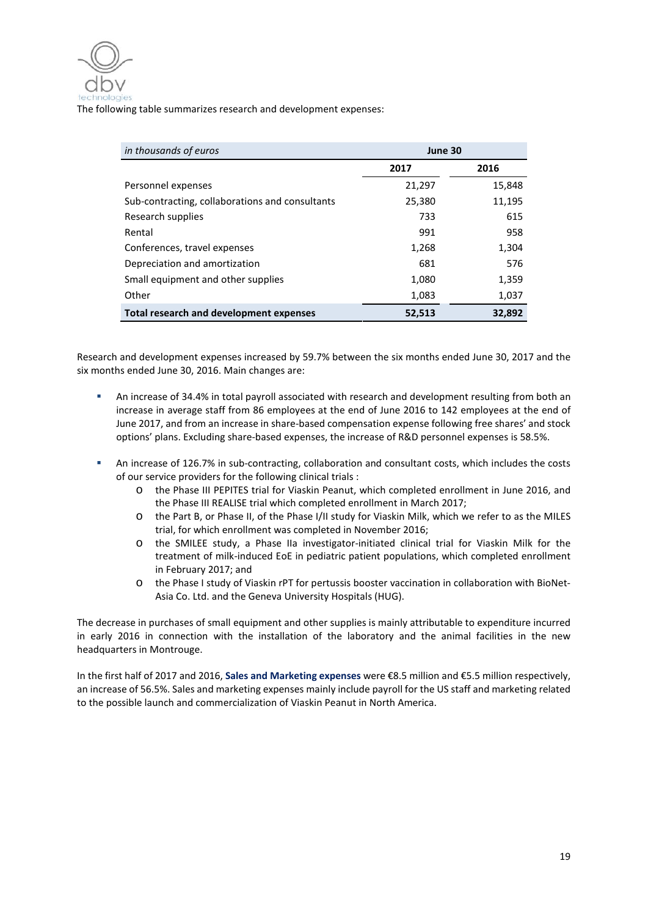

The following table summarizes research and development expenses:

| in thousands of euros                           | June 30 |        |
|-------------------------------------------------|---------|--------|
|                                                 | 2017    | 2016   |
| Personnel expenses                              | 21,297  | 15,848 |
| Sub-contracting, collaborations and consultants | 25,380  | 11,195 |
| Research supplies                               | 733     | 615    |
| Rental                                          | 991     | 958    |
| Conferences, travel expenses                    | 1,268   | 1,304  |
| Depreciation and amortization                   | 681     | 576    |
| Small equipment and other supplies              | 1,080   | 1,359  |
| Other                                           | 1,083   | 1,037  |
| Total research and development expenses         | 52,513  | 32,892 |

Research and development expenses increased by 59.7% between the six months ended June 30, 2017 and the six months ended June 30, 2016. Main changes are:

- An increase of 34.4% in total payroll associated with research and development resulting from both an increase in average staff from 86 employees at the end of June 2016 to 142 employees at the end of June 2017, and from an increase in share-based compensation expense following free shares' and stock options' plans. Excluding share-based expenses, the increase of R&D personnel expenses is 58.5%.
- An increase of 126.7% in sub-contracting, collaboration and consultant costs, which includes the costs of our service providers for the following clinical trials :
	- o the Phase III PEPITES trial for Viaskin Peanut, which completed enrollment in June 2016, and the Phase III REALISE trial which completed enrollment in March 2017;
	- o the Part B, or Phase II, of the Phase I/II study for Viaskin Milk, which we refer to as the MILES trial, for which enrollment was completed in November 2016;
	- o the SMILEE study, a Phase IIa investigator-initiated clinical trial for Viaskin Milk for the treatment of milk-induced EoE in pediatric patient populations, which completed enrollment in February 2017; and
	- o the Phase I study of Viaskin rPT for pertussis booster vaccination in collaboration with BioNet-Asia Co. Ltd. and the Geneva University Hospitals (HUG).

The decrease in purchases of small equipment and other supplies is mainly attributable to expenditure incurred in early 2016 in connection with the installation of the laboratory and the animal facilities in the new headquarters in Montrouge.

In the first half of 2017 and 2016, **Sales and Marketing expenses** were €8.5 million and €5.5 million respectively, an increase of 56.5%. Sales and marketing expenses mainly include payroll for the US staff and marketing related to the possible launch and commercialization of Viaskin Peanut in North America.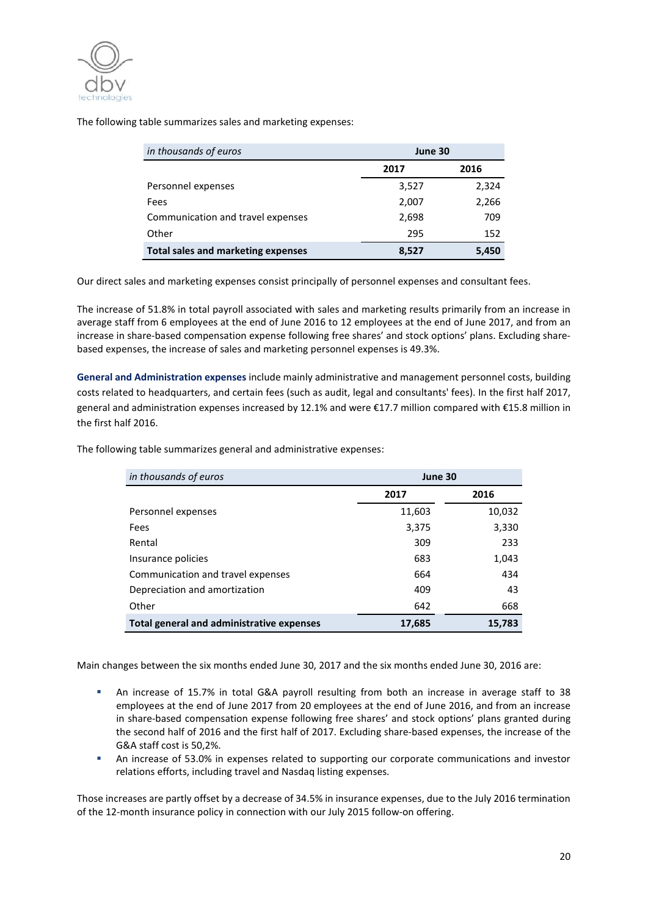

The following table summarizes sales and marketing expenses:

| in thousands of euros              |       | June 30 |  |
|------------------------------------|-------|---------|--|
|                                    | 2017  | 2016    |  |
| Personnel expenses                 | 3,527 | 2,324   |  |
| Fees                               | 2,007 | 2,266   |  |
| Communication and travel expenses  | 2,698 | 709     |  |
| Other                              | 295   | 152     |  |
| Total sales and marketing expenses | 8,527 | 5,450   |  |

Our direct sales and marketing expenses consist principally of personnel expenses and consultant fees.

The increase of 51.8% in total payroll associated with sales and marketing results primarily from an increase in average staff from 6 employees at the end of June 2016 to 12 employees at the end of June 2017, and from an increase in share-based compensation expense following free shares' and stock options' plans. Excluding sharebased expenses, the increase of sales and marketing personnel expenses is 49.3%.

**General and Administration expenses** include mainly administrative and management personnel costs, building costs related to headquarters, and certain fees (such as audit, legal and consultants' fees). In the first half 2017, general and administration expenses increased by 12.1% and were €17.7 million compared with €15.8 million in the first half 2016.

| in thousands of euros                     | June 30 |        |
|-------------------------------------------|---------|--------|
|                                           | 2017    | 2016   |
| Personnel expenses                        | 11,603  | 10,032 |
| Fees                                      | 3,375   | 3,330  |
| Rental                                    | 309     | 233    |
| Insurance policies                        | 683     | 1,043  |
| Communication and travel expenses         | 664     | 434    |
| Depreciation and amortization             | 409     | 43     |
| Other                                     | 642     | 668    |
| Total general and administrative expenses | 17,685  | 15,783 |

The following table summarizes general and administrative expenses:

Main changes between the six months ended June 30, 2017 and the six months ended June 30, 2016 are:

- An increase of 15.7% in total G&A payroll resulting from both an increase in average staff to 38 employees at the end of June 2017 from 20 employees at the end of June 2016, and from an increase in share-based compensation expense following free shares' and stock options' plans granted during the second half of 2016 and the first half of 2017. Excluding share-based expenses, the increase of the G&A staff cost is 50,2%.
- An increase of 53.0% in expenses related to supporting our corporate communications and investor relations efforts, including travel and Nasdaq listing expenses.

Those increases are partly offset by a decrease of 34.5% in insurance expenses, due to the July 2016 termination of the 12-month insurance policy in connection with our July 2015 follow-on offering.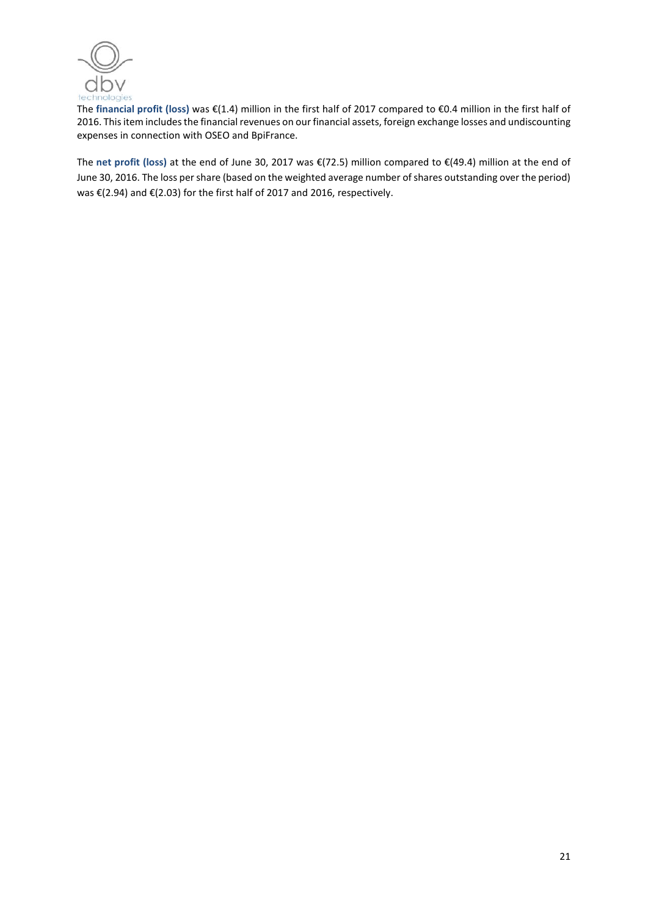

The **financial profit (loss)** was €(1.4) million in the first half of 2017 compared to €0.4 million in the first half of 2016. This item includes the financial revenues on our financial assets, foreign exchange losses and undiscounting expenses in connection with OSEO and BpiFrance.

The **net profit (loss)** at the end of June 30, 2017 was €(72.5) million compared to €(49.4) million at the end of June 30, 2016. The loss per share (based on the weighted average number of shares outstanding over the period) was €(2.94) and €(2.03) for the first half of 2017 and 2016, respectively.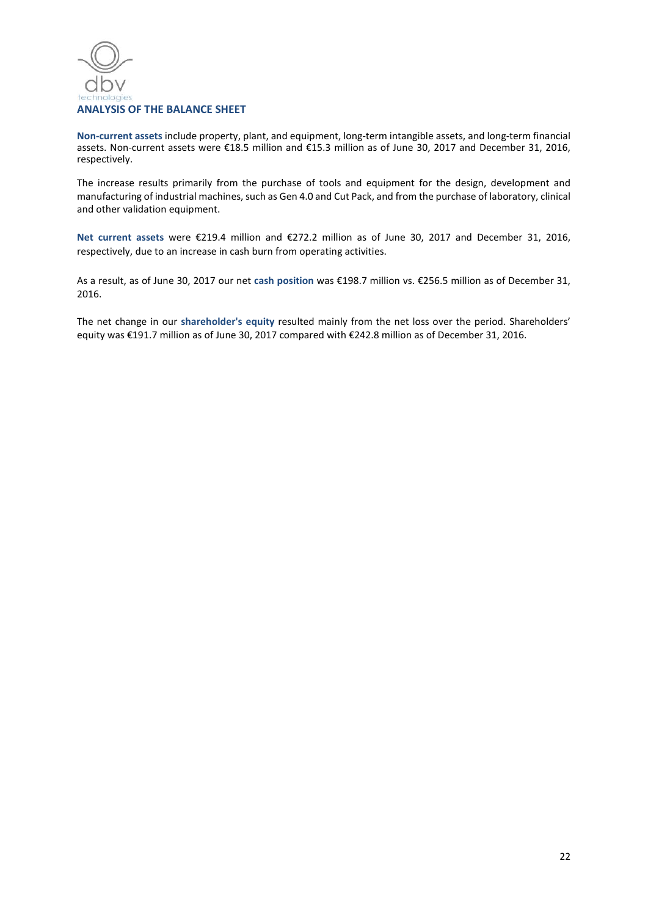

**Non-current assets** include property, plant, and equipment, long-term intangible assets, and long-term financial assets. Non-current assets were €18.5 million and €15.3 million as of June 30, 2017 and December 31, 2016, respectively.

The increase results primarily from the purchase of tools and equipment for the design, development and manufacturing of industrial machines, such as Gen 4.0 and Cut Pack, and from the purchase of laboratory, clinical and other validation equipment.

**Net current assets** were €219.4 million and €272.2 million as of June 30, 2017 and December 31, 2016, respectively, due to an increase in cash burn from operating activities.

As a result, as of June 30, 2017 our net **cash position** was €198.7 million vs. €256.5 million as of December 31, 2016.

The net change in our **shareholder's equity** resulted mainly from the net loss over the period. Shareholders' equity was €191.7 million as of June 30, 2017 compared with €242.8 million as of December 31, 2016.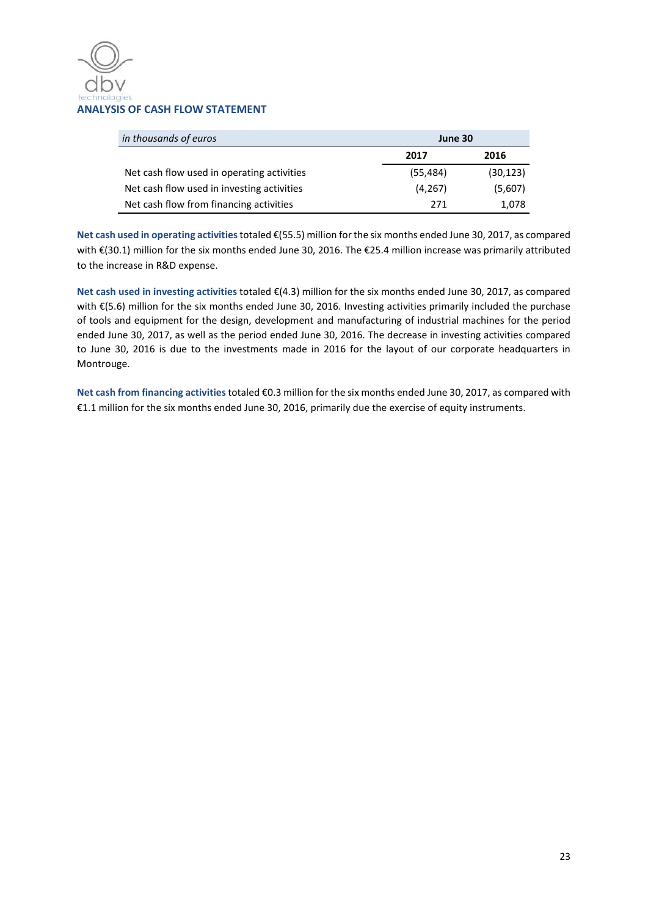

| in thousands of euros                      | June 30  |           |
|--------------------------------------------|----------|-----------|
|                                            | 2017     | 2016      |
| Net cash flow used in operating activities | (55,484) | (30, 123) |
| Net cash flow used in investing activities | (4,267)  | (5,607)   |
| Net cash flow from financing activities    | 271      | 1,078     |

**Net cash used in operating activities**totaled €(55.5) million for the six months ended June 30, 2017, as compared with €(30.1) million for the six months ended June 30, 2016. The €25.4 million increase was primarily attributed to the increase in R&D expense.

**Net cash used in investing activities** totaled €(4.3) million for the six months ended June 30, 2017, as compared with €(5.6) million for the six months ended June 30, 2016. Investing activities primarily included the purchase of tools and equipment for the design, development and manufacturing of industrial machines for the period ended June 30, 2017, as well as the period ended June 30, 2016. The decrease in investing activities compared to June 30, 2016 is due to the investments made in 2016 for the layout of our corporate headquarters in Montrouge.

**Net cash from financing activities**totaled €0.3 million for the six months ended June 30, 2017, as compared with €1.1 million for the six months ended June 30, 2016, primarily due the exercise of equity instruments.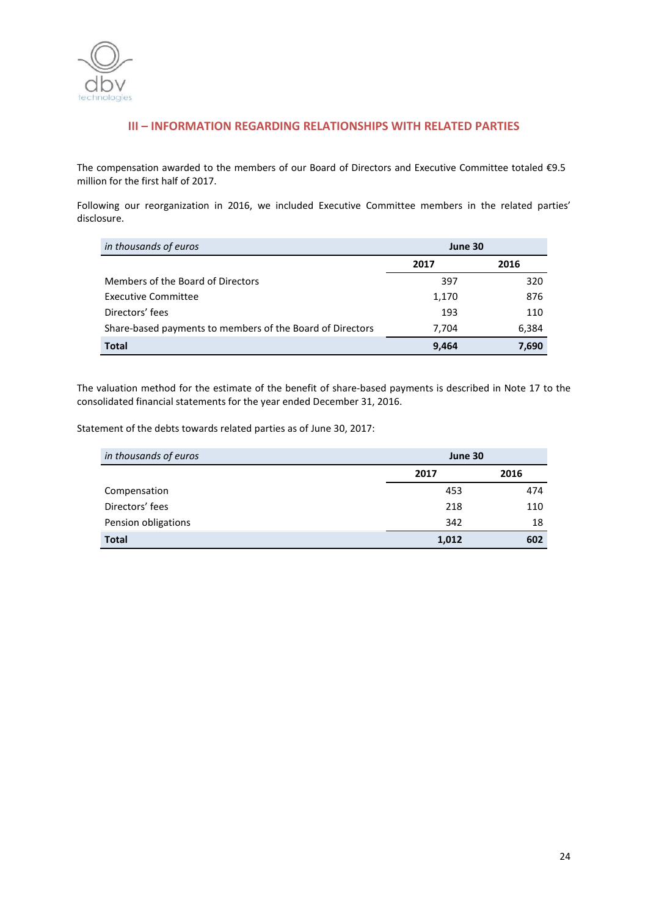

# **III – INFORMATION REGARDING RELATIONSHIPS WITH RELATED PARTIES**

The compensation awarded to the members of our Board of Directors and Executive Committee totaled €9.5 million for the first half of 2017.

Following our reorganization in 2016, we included Executive Committee members in the related parties' disclosure.

| in thousands of euros                                     | June 30 |       |
|-----------------------------------------------------------|---------|-------|
|                                                           | 2017    | 2016  |
| Members of the Board of Directors                         | 397     | 320   |
| <b>Executive Committee</b>                                | 1,170   | 876   |
| Directors' fees                                           | 193     | 110   |
| Share-based payments to members of the Board of Directors | 7,704   | 6,384 |
| Total                                                     | 9,464   | 7.690 |

The valuation method for the estimate of the benefit of share-based payments is described in Note 17 to the consolidated financial statements for the year ended December 31, 2016.

Statement of the debts towards related parties as of June 30, 2017:

| in thousands of euros | June 30 |      |
|-----------------------|---------|------|
|                       | 2017    | 2016 |
| Compensation          | 453     | 474  |
| Directors' fees       | 218     | 110  |
| Pension obligations   | 342     | 18   |
| <b>Total</b>          | 1,012   | 602  |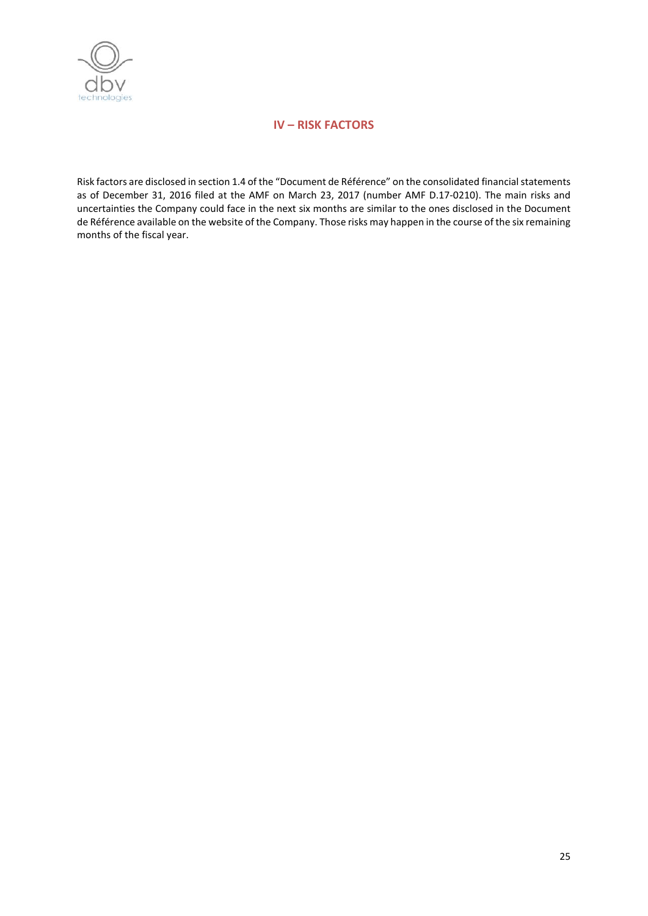

# **IV – RISK FACTORS**

Risk factors are disclosed in section 1.4 of the "Document de Référence" on the consolidated financial statements as of December 31, 2016 filed at the AMF on March 23, 2017 (number AMF D.17-0210). The main risks and uncertainties the Company could face in the next six months are similar to the ones disclosed in the Document de Référence available on the website of the Company. Those risks may happen in the course of the six remaining months of the fiscal year.